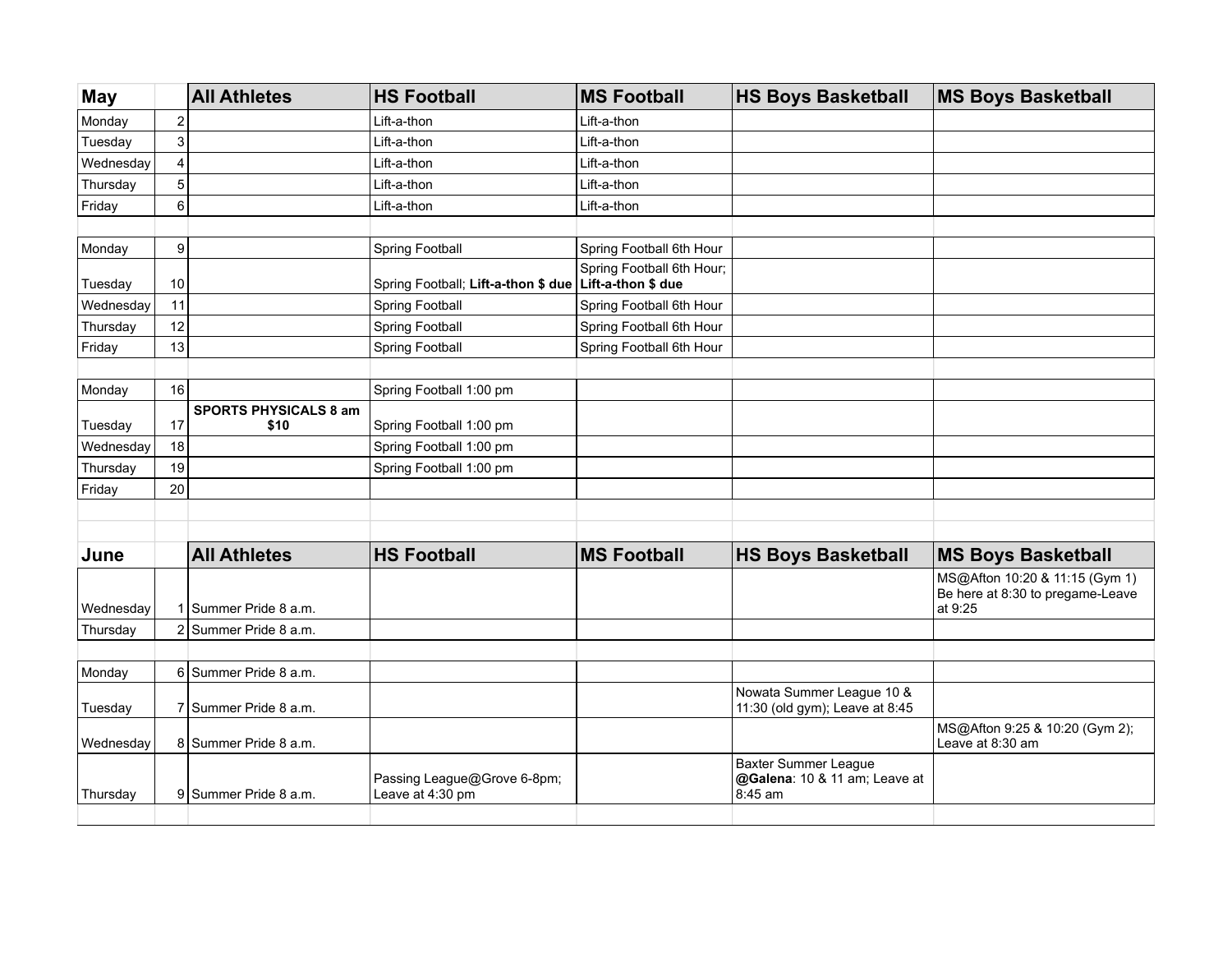| <b>May</b> |                         | <b>All Athletes</b>                  | <b>HS Football</b>                                       | <b>MS Football</b>        | <b>HS Boys Basketball</b>                                               | <b>MS Boys Basketball</b>                                                     |
|------------|-------------------------|--------------------------------------|----------------------------------------------------------|---------------------------|-------------------------------------------------------------------------|-------------------------------------------------------------------------------|
| Monday     | $\boldsymbol{2}$        |                                      | Lift-a-thon                                              | Lift-a-thon               |                                                                         |                                                                               |
| Tuesday    | $\mathbf{3}$            |                                      | Lift-a-thon                                              | Lift-a-thon               |                                                                         |                                                                               |
| Wednesday  | $\overline{\mathbf{4}}$ |                                      | Lift-a-thon                                              | Lift-a-thon               |                                                                         |                                                                               |
| Thursday   | $\overline{5}$          |                                      | Lift-a-thon                                              | Lift-a-thon               |                                                                         |                                                                               |
| Friday     | $\,6$                   |                                      | Lift-a-thon                                              | Lift-a-thon               |                                                                         |                                                                               |
|            |                         |                                      |                                                          |                           |                                                                         |                                                                               |
| Monday     | $\boldsymbol{9}$        |                                      | Spring Football                                          | Spring Football 6th Hour  |                                                                         |                                                                               |
| Tuesday    | 10                      |                                      | Spring Football; Lift-a-thon \$ due   Lift-a-thon \$ due | Spring Football 6th Hour; |                                                                         |                                                                               |
| Wednesday  | 11                      |                                      | <b>Spring Football</b>                                   | Spring Football 6th Hour  |                                                                         |                                                                               |
| Thursday   | 12                      |                                      | Spring Football                                          | Spring Football 6th Hour  |                                                                         |                                                                               |
| Friday     | 13                      |                                      | <b>Spring Football</b>                                   | Spring Football 6th Hour  |                                                                         |                                                                               |
|            |                         |                                      |                                                          |                           |                                                                         |                                                                               |
| Monday     | 16                      |                                      | Spring Football 1:00 pm                                  |                           |                                                                         |                                                                               |
| Tuesday    | 17                      | <b>SPORTS PHYSICALS 8 am</b><br>\$10 | Spring Football 1:00 pm                                  |                           |                                                                         |                                                                               |
| Wednesday  | 18                      |                                      | Spring Football 1:00 pm                                  |                           |                                                                         |                                                                               |
| Thursday   | 19                      |                                      | Spring Football 1:00 pm                                  |                           |                                                                         |                                                                               |
| Friday     | 20                      |                                      |                                                          |                           |                                                                         |                                                                               |
|            |                         |                                      |                                                          |                           |                                                                         |                                                                               |
|            |                         |                                      |                                                          |                           |                                                                         |                                                                               |
| June       |                         | <b>All Athletes</b>                  | <b>HS Football</b>                                       | <b>MS Football</b>        | <b>HS Boys Basketball</b>                                               | <b>MS Boys Basketball</b>                                                     |
| Wednesday  |                         | Summer Pride 8 a.m.                  |                                                          |                           |                                                                         | MS@Afton 10:20 & 11:15 (Gym 1)<br>Be here at 8:30 to pregame-Leave<br>at 9:25 |
| Thursday   | $\overline{2}$          | Summer Pride 8 a.m.                  |                                                          |                           |                                                                         |                                                                               |
|            |                         |                                      |                                                          |                           |                                                                         |                                                                               |
| Monday     |                         | 6 Summer Pride 8 a.m.                |                                                          |                           |                                                                         |                                                                               |
| Tuesday    |                         | 7 Summer Pride 8 a.m.                |                                                          |                           | Nowata Summer League 10 &<br>11:30 (old gym); Leave at 8:45             |                                                                               |
| Wednesday  |                         | 8 Summer Pride 8 a.m.                |                                                          |                           |                                                                         | MS@Afton 9:25 & 10:20 (Gym 2);<br>Leave at 8:30 am                            |
| Thursday   |                         | 9 Summer Pride 8 a.m.                | Passing League@Grove 6-8pm;<br>Leave at 4:30 pm          |                           | <b>Baxter Summer League</b><br>@Galena: 10 & 11 am; Leave at<br>8:45 am |                                                                               |
|            |                         |                                      |                                                          |                           |                                                                         |                                                                               |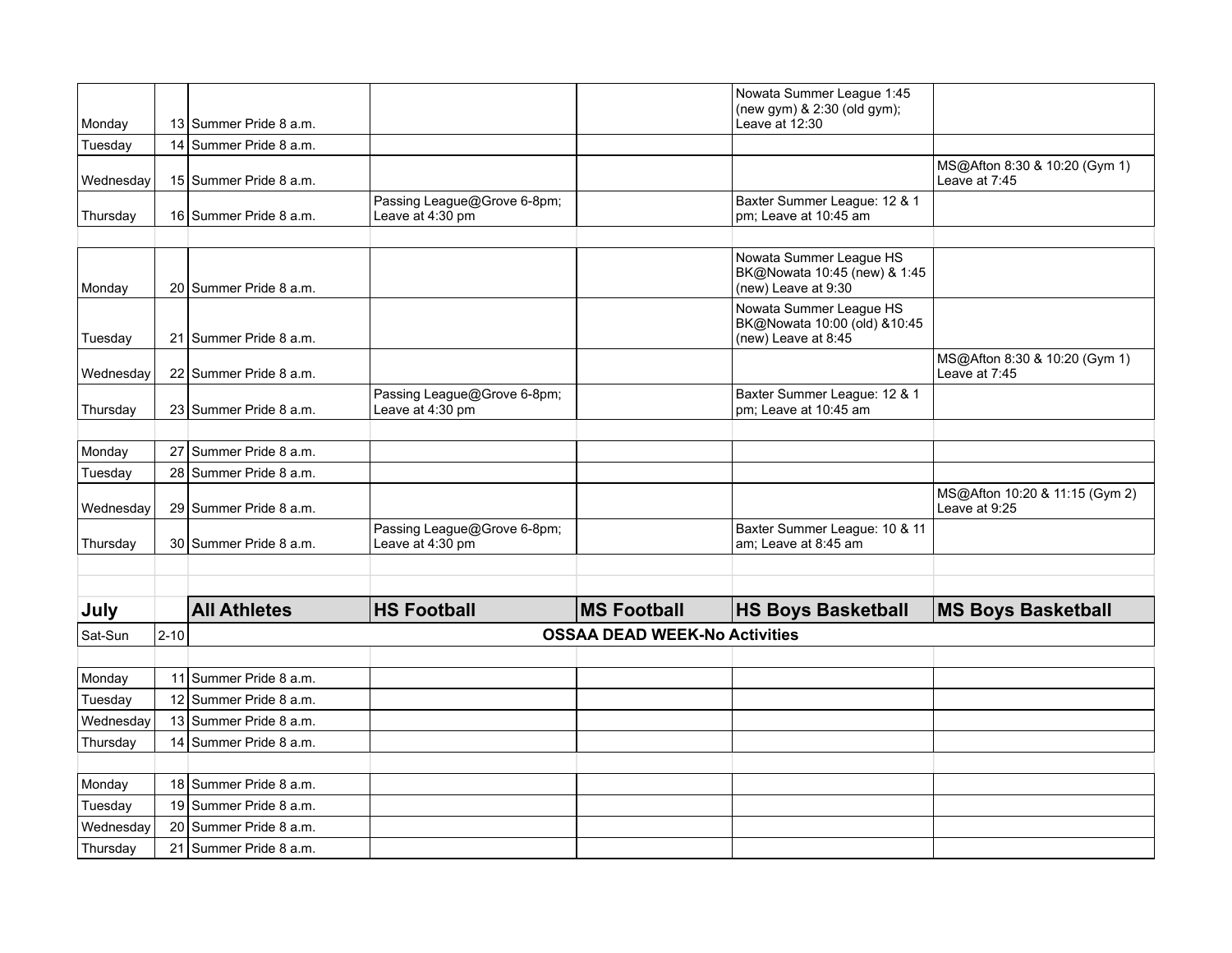| Monday    |          | 13 Summer Pride 8 a.m.               |                                                 |                    | Nowata Summer League 1:45<br>(new gym) & 2:30 (old gym);<br>Leave at 12:30     |                                                 |  |
|-----------|----------|--------------------------------------|-------------------------------------------------|--------------------|--------------------------------------------------------------------------------|-------------------------------------------------|--|
| Tuesday   |          | 14 Summer Pride 8 a.m.               |                                                 |                    |                                                                                |                                                 |  |
| Wednesday |          | 15 Summer Pride 8 a.m.               |                                                 |                    |                                                                                | MS@Afton 8:30 & 10:20 (Gym 1)<br>Leave at 7:45  |  |
| Thursday  |          | 16 Summer Pride 8 a.m.               | Passing League@Grove 6-8pm;<br>Leave at 4:30 pm |                    | Baxter Summer League: 12 & 1<br>pm; Leave at 10:45 am                          |                                                 |  |
|           |          |                                      |                                                 |                    |                                                                                |                                                 |  |
| Monday    |          | 20 Summer Pride 8 a.m.               |                                                 |                    | Nowata Summer League HS<br>BK@Nowata 10:45 (new) & 1:45<br>(new) Leave at 9:30 |                                                 |  |
| Tuesday   | 21       | Summer Pride 8 a.m.                  |                                                 |                    | Nowata Summer League HS<br>BK@Nowata 10:00 (old) &10:45<br>(new) Leave at 8:45 |                                                 |  |
| Wednesday |          | 22 Summer Pride 8 a.m.               |                                                 |                    |                                                                                | MS@Afton 8:30 & 10:20 (Gym 1)<br>Leave at 7:45  |  |
| Thursday  |          | 23 Summer Pride 8 a.m.               | Passing League@Grove 6-8pm;<br>Leave at 4:30 pm |                    | Baxter Summer League: 12 & 1<br>pm; Leave at 10:45 am                          |                                                 |  |
|           |          |                                      |                                                 |                    |                                                                                |                                                 |  |
| Monday    |          | 27 Summer Pride 8 a.m.               |                                                 |                    |                                                                                |                                                 |  |
| Tuesday   | 28       | Summer Pride 8 a.m.                  |                                                 |                    |                                                                                |                                                 |  |
| Wednesday |          | 29 Summer Pride 8 a.m.               |                                                 |                    |                                                                                | MS@Afton 10:20 & 11:15 (Gym 2)<br>Leave at 9:25 |  |
| Thursday  |          | 30 Summer Pride 8 a.m.               | Passing League@Grove 6-8pm;<br>Leave at 4:30 pm |                    | Baxter Summer League: 10 & 11<br>am; Leave at 8:45 am                          |                                                 |  |
|           |          |                                      |                                                 |                    |                                                                                |                                                 |  |
|           |          |                                      |                                                 |                    |                                                                                |                                                 |  |
| July      |          | <b>All Athletes</b>                  | <b>HS Football</b>                              | <b>MS Football</b> | <b>HS Boys Basketball</b>                                                      | <b>MS Boys Basketball</b>                       |  |
| Sat-Sun   | $2 - 10$ | <b>OSSAA DEAD WEEK-No Activities</b> |                                                 |                    |                                                                                |                                                 |  |
|           |          |                                      |                                                 |                    |                                                                                |                                                 |  |
| Monday    |          | 11 Summer Pride 8 a.m.               |                                                 |                    |                                                                                |                                                 |  |
| Tuesday   |          | 12 Summer Pride 8 a.m.               |                                                 |                    |                                                                                |                                                 |  |
| Wednesday |          | 13 Summer Pride 8 a.m.               |                                                 |                    |                                                                                |                                                 |  |
| Thursday  |          | 14 Summer Pride 8 a.m.               |                                                 |                    |                                                                                |                                                 |  |
| Monday    |          | 18 Summer Pride 8 a.m.               |                                                 |                    |                                                                                |                                                 |  |
| Tuesday   |          | 19 Summer Pride 8 a.m.               |                                                 |                    |                                                                                |                                                 |  |
| Wednesday |          | 20 Summer Pride 8 a.m.               |                                                 |                    |                                                                                |                                                 |  |
| Thursday  |          | 21 Summer Pride 8 a.m.               |                                                 |                    |                                                                                |                                                 |  |
|           |          |                                      |                                                 |                    |                                                                                |                                                 |  |